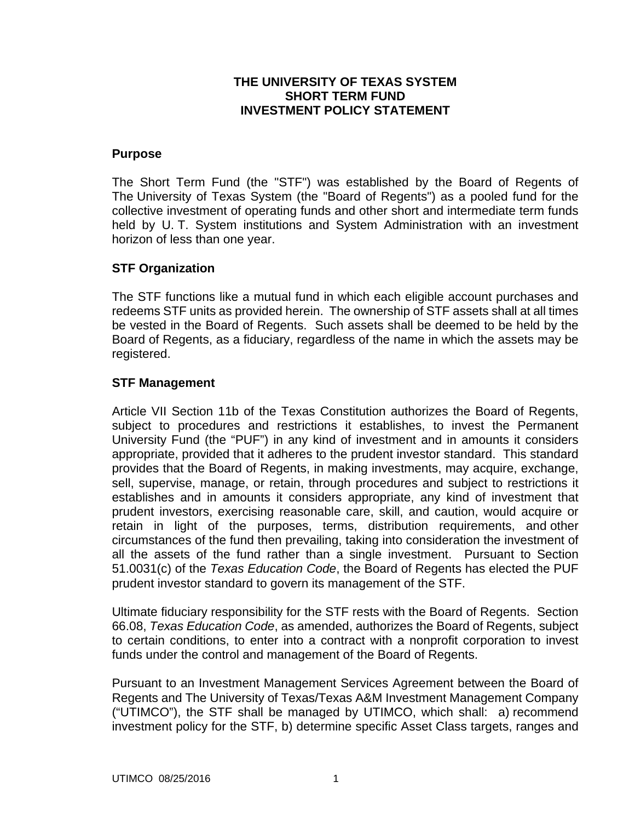## **THE UNIVERSITY OF TEXAS SYSTEM SHORT TERM FUND INVESTMENT POLICY STATEMENT**

#### **Purpose**

The Short Term Fund (the "STF") was established by the Board of Regents of The University of Texas System (the "Board of Regents") as a pooled fund for the collective investment of operating funds and other short and intermediate term funds held by U. T. System institutions and System Administration with an investment horizon of less than one year.

## **STF Organization**

The STF functions like a mutual fund in which each eligible account purchases and redeems STF units as provided herein. The ownership of STF assets shall at all times be vested in the Board of Regents. Such assets shall be deemed to be held by the Board of Regents, as a fiduciary, regardless of the name in which the assets may be registered.

## **STF Management**

Article VII Section 11b of the Texas Constitution authorizes the Board of Regents, subject to procedures and restrictions it establishes, to invest the Permanent University Fund (the "PUF") in any kind of investment and in amounts it considers appropriate, provided that it adheres to the prudent investor standard. This standard provides that the Board of Regents, in making investments, may acquire, exchange, sell, supervise, manage, or retain, through procedures and subject to restrictions it establishes and in amounts it considers appropriate, any kind of investment that prudent investors, exercising reasonable care, skill, and caution, would acquire or retain in light of the purposes, terms, distribution requirements, and other circumstances of the fund then prevailing, taking into consideration the investment of all the assets of the fund rather than a single investment. Pursuant to Section 51.0031(c) of the *Texas Education Code*, the Board of Regents has elected the PUF prudent investor standard to govern its management of the STF.

Ultimate fiduciary responsibility for the STF rests with the Board of Regents. Section 66.08, *Texas Education Code*, as amended, authorizes the Board of Regents, subject to certain conditions, to enter into a contract with a nonprofit corporation to invest funds under the control and management of the Board of Regents.

Pursuant to an Investment Management Services Agreement between the Board of Regents and The University of Texas/Texas A&M Investment Management Company ("UTIMCO"), the STF shall be managed by UTIMCO, which shall: a) recommend investment policy for the STF, b) determine specific Asset Class targets, ranges and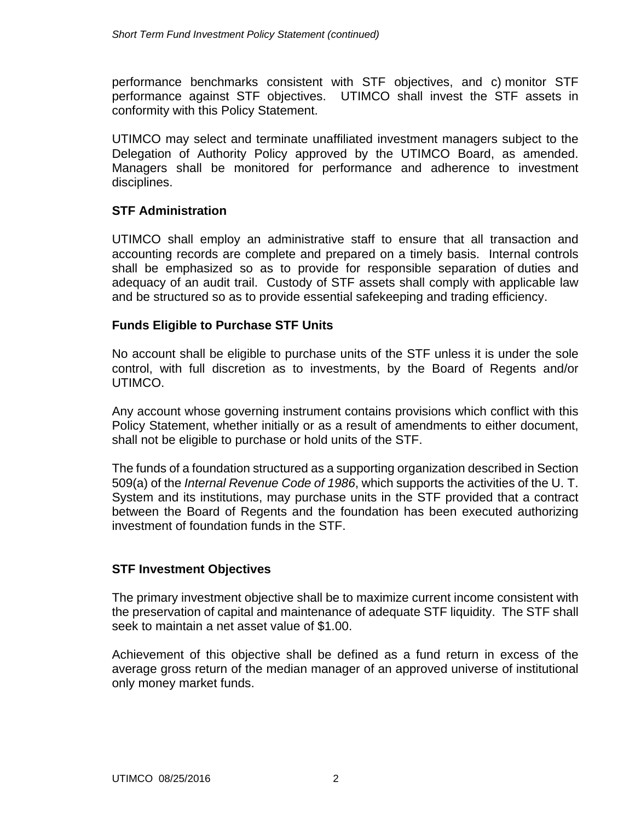performance benchmarks consistent with STF objectives, and c) monitor STF performance against STF objectives. UTIMCO shall invest the STF assets in conformity with this Policy Statement.

UTIMCO may select and terminate unaffiliated investment managers subject to the Delegation of Authority Policy approved by the UTIMCO Board, as amended. Managers shall be monitored for performance and adherence to investment disciplines.

## **STF Administration**

UTIMCO shall employ an administrative staff to ensure that all transaction and accounting records are complete and prepared on a timely basis. Internal controls shall be emphasized so as to provide for responsible separation of duties and adequacy of an audit trail. Custody of STF assets shall comply with applicable law and be structured so as to provide essential safekeeping and trading efficiency.

# **Funds Eligible to Purchase STF Units**

No account shall be eligible to purchase units of the STF unless it is under the sole control, with full discretion as to investments, by the Board of Regents and/or UTIMCO.

Any account whose governing instrument contains provisions which conflict with this Policy Statement, whether initially or as a result of amendments to either document, shall not be eligible to purchase or hold units of the STF.

The funds of a foundation structured as a supporting organization described in Section 509(a) of the *Internal Revenue Code of 1986*, which supports the activities of the U. T. System and its institutions, may purchase units in the STF provided that a contract between the Board of Regents and the foundation has been executed authorizing investment of foundation funds in the STF.

## **STF Investment Objectives**

The primary investment objective shall be to maximize current income consistent with the preservation of capital and maintenance of adequate STF liquidity. The STF shall seek to maintain a net asset value of \$1.00.

Achievement of this objective shall be defined as a fund return in excess of the average gross return of the median manager of an approved universe of institutional only money market funds.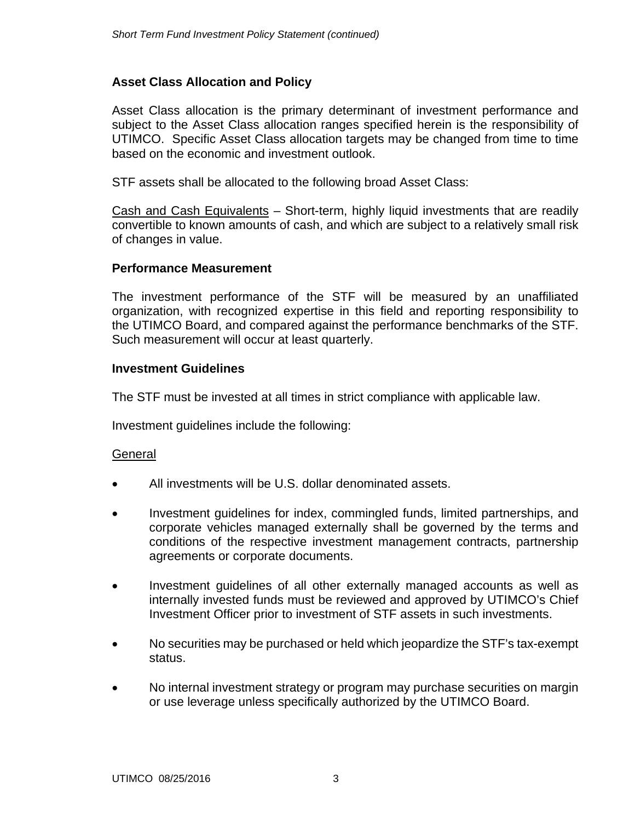# **Asset Class Allocation and Policy**

Asset Class allocation is the primary determinant of investment performance and subject to the Asset Class allocation ranges specified herein is the responsibility of UTIMCO. Specific Asset Class allocation targets may be changed from time to time based on the economic and investment outlook.

STF assets shall be allocated to the following broad Asset Class:

Cash and Cash Equivalents – Short-term, highly liquid investments that are readily convertible to known amounts of cash, and which are subject to a relatively small risk of changes in value.

### **Performance Measurement**

The investment performance of the STF will be measured by an unaffiliated organization, with recognized expertise in this field and reporting responsibility to the UTIMCO Board, and compared against the performance benchmarks of the STF. Such measurement will occur at least quarterly.

### **Investment Guidelines**

The STF must be invested at all times in strict compliance with applicable law.

Investment guidelines include the following:

## General

- All investments will be U.S. dollar denominated assets.
- Investment guidelines for index, commingled funds, limited partnerships, and corporate vehicles managed externally shall be governed by the terms and conditions of the respective investment management contracts, partnership agreements or corporate documents.
- Investment guidelines of all other externally managed accounts as well as internally invested funds must be reviewed and approved by UTIMCO's Chief Investment Officer prior to investment of STF assets in such investments.
- No securities may be purchased or held which jeopardize the STF's tax-exempt status.
- No internal investment strategy or program may purchase securities on margin or use leverage unless specifically authorized by the UTIMCO Board.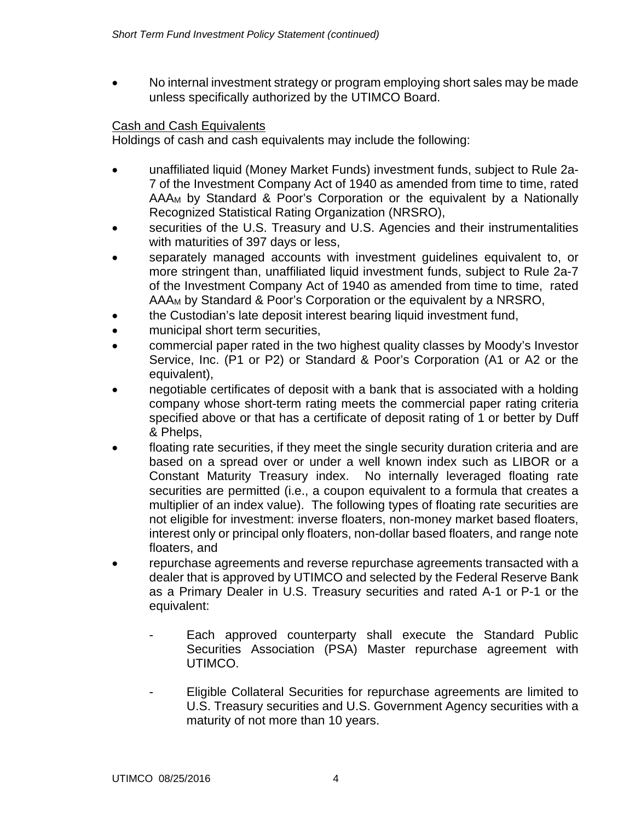• No internal investment strategy or program employing short sales may be made unless specifically authorized by the UTIMCO Board.

# Cash and Cash Equivalents

Holdings of cash and cash equivalents may include the following:

- unaffiliated liquid (Money Market Funds) investment funds, subject to Rule 2a-7 of the Investment Company Act of 1940 as amended from time to time, rated AAAM by Standard & Poor's Corporation or the equivalent by a Nationally Recognized Statistical Rating Organization (NRSRO),
- securities of the U.S. Treasury and U.S. Agencies and their instrumentalities with maturities of 397 days or less,
- separately managed accounts with investment guidelines equivalent to, or more stringent than, unaffiliated liquid investment funds, subject to Rule 2a-7 of the Investment Company Act of 1940 as amended from time to time, rated AAAM by Standard & Poor's Corporation or the equivalent by a NRSRO,
- the Custodian's late deposit interest bearing liquid investment fund,
- municipal short term securities,
- commercial paper rated in the two highest quality classes by Moody's Investor Service, Inc. (P1 or P2) or Standard & Poor's Corporation (A1 or A2 or the equivalent),
- negotiable certificates of deposit with a bank that is associated with a holding company whose short-term rating meets the commercial paper rating criteria specified above or that has a certificate of deposit rating of 1 or better by Duff & Phelps,
- floating rate securities, if they meet the single security duration criteria and are based on a spread over or under a well known index such as LIBOR or a Constant Maturity Treasury index. No internally leveraged floating rate securities are permitted (i.e., a coupon equivalent to a formula that creates a multiplier of an index value). The following types of floating rate securities are not eligible for investment: inverse floaters, non-money market based floaters, interest only or principal only floaters, non-dollar based floaters, and range note floaters, and
- repurchase agreements and reverse repurchase agreements transacted with a dealer that is approved by UTIMCO and selected by the Federal Reserve Bank as a Primary Dealer in U.S. Treasury securities and rated A-1 or P-1 or the equivalent:
	- Each approved counterparty shall execute the Standard Public Securities Association (PSA) Master repurchase agreement with UTIMCO.
	- Eligible Collateral Securities for repurchase agreements are limited to U.S. Treasury securities and U.S. Government Agency securities with a maturity of not more than 10 years.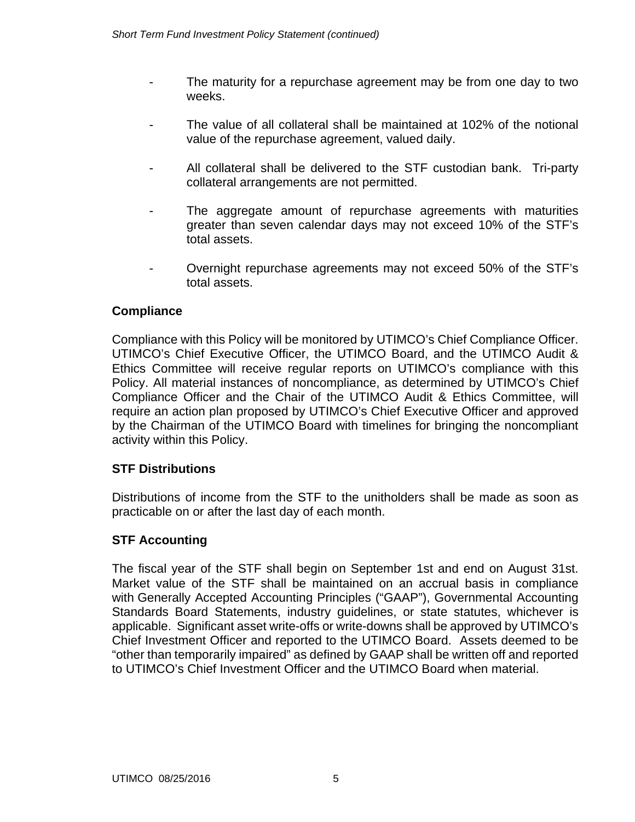- The maturity for a repurchase agreement may be from one day to two weeks.
- The value of all collateral shall be maintained at 102% of the notional value of the repurchase agreement, valued daily.
- All collateral shall be delivered to the STF custodian bank. Tri-party collateral arrangements are not permitted.
- The aggregate amount of repurchase agreements with maturities greater than seven calendar days may not exceed 10% of the STF's total assets.
- Overnight repurchase agreements may not exceed 50% of the STF's total assets.

# **Compliance**

Compliance with this Policy will be monitored by UTIMCO's Chief Compliance Officer. UTIMCO's Chief Executive Officer, the UTIMCO Board, and the UTIMCO Audit & Ethics Committee will receive regular reports on UTIMCO's compliance with this Policy. All material instances of noncompliance, as determined by UTIMCO's Chief Compliance Officer and the Chair of the UTIMCO Audit & Ethics Committee, will require an action plan proposed by UTIMCO's Chief Executive Officer and approved by the Chairman of the UTIMCO Board with timelines for bringing the noncompliant activity within this Policy.

# **STF Distributions**

Distributions of income from the STF to the unitholders shall be made as soon as practicable on or after the last day of each month.

# **STF Accounting**

The fiscal year of the STF shall begin on September 1st and end on August 31st. Market value of the STF shall be maintained on an accrual basis in compliance with Generally Accepted Accounting Principles ("GAAP"), Governmental Accounting Standards Board Statements, industry guidelines, or state statutes, whichever is applicable. Significant asset write-offs or write-downs shall be approved by UTIMCO's Chief Investment Officer and reported to the UTIMCO Board. Assets deemed to be "other than temporarily impaired" as defined by GAAP shall be written off and reported to UTIMCO's Chief Investment Officer and the UTIMCO Board when material.